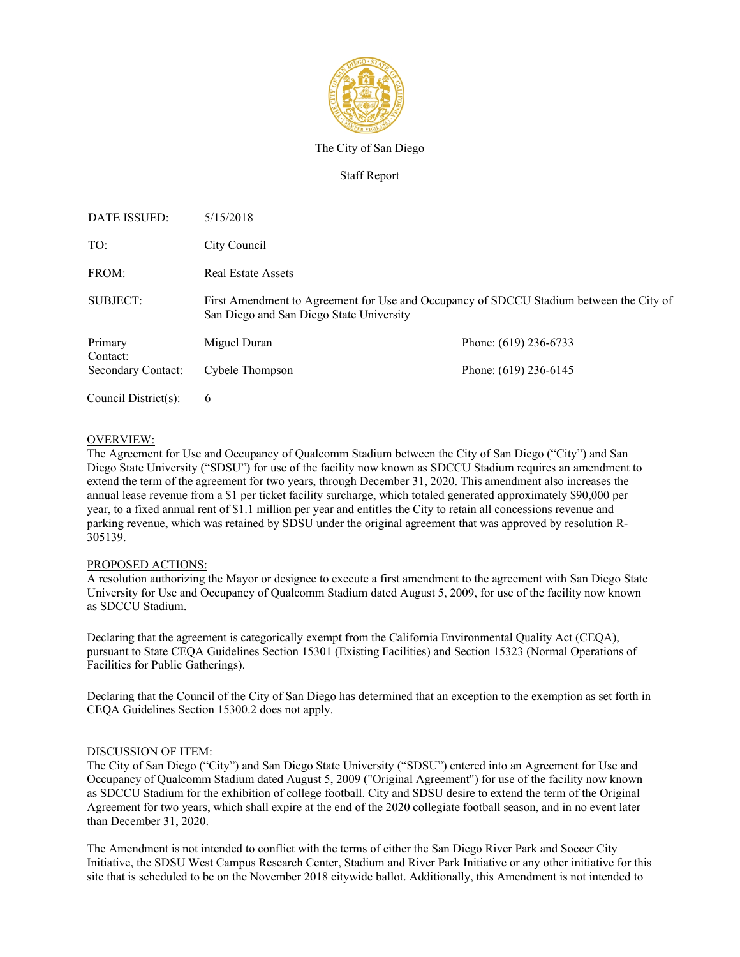

The City of San Diego

Staff Report

| DATE ISSUED:         | 5/15/2018                                                                                                                           |                       |
|----------------------|-------------------------------------------------------------------------------------------------------------------------------------|-----------------------|
| TO:                  | City Council                                                                                                                        |                       |
| FROM:                | <b>Real Estate Assets</b>                                                                                                           |                       |
| SUBJECT:             | First Amendment to Agreement for Use and Occupancy of SDCCU Stadium between the City of<br>San Diego and San Diego State University |                       |
| Primary<br>Contact:  | Miguel Duran                                                                                                                        | Phone: (619) 236-6733 |
| Secondary Contact:   | Cybele Thompson                                                                                                                     | Phone: (619) 236-6145 |
| Council District(s): | 6                                                                                                                                   |                       |

### OVERVIEW:

The Agreement for Use and Occupancy of Qualcomm Stadium between the City of San Diego ("City") and San Diego State University ("SDSU") for use of the facility now known as SDCCU Stadium requires an amendment to extend the term of the agreement for two years, through December 31, 2020. This amendment also increases the annual lease revenue from a \$1 per ticket facility surcharge, which totaled generated approximately \$90,000 per year, to a fixed annual rent of \$1.1 million per year and entitles the City to retain all concessions revenue and parking revenue, which was retained by SDSU under the original agreement that was approved by resolution R-305139.

### PROPOSED ACTIONS:

A resolution authorizing the Mayor or designee to execute a first amendment to the agreement with San Diego State University for Use and Occupancy of Qualcomm Stadium dated August 5, 2009, for use of the facility now known as SDCCU Stadium.

Declaring that the agreement is categorically exempt from the California Environmental Quality Act (CEQA), pursuant to State CEQA Guidelines Section 15301 (Existing Facilities) and Section 15323 (Normal Operations of Facilities for Public Gatherings).

Declaring that the Council of the City of San Diego has determined that an exception to the exemption as set forth in CEQA Guidelines Section 15300.2 does not apply.

### DISCUSSION OF ITEM:

The City of San Diego ("City") and San Diego State University ("SDSU") entered into an Agreement for Use and Occupancy of Qualcomm Stadium dated August 5, 2009 ("Original Agreement") for use of the facility now known as SDCCU Stadium for the exhibition of college football. City and SDSU desire to extend the term of the Original Agreement for two years, which shall expire at the end of the 2020 collegiate football season, and in no event later than December 31, 2020.

The Amendment is not intended to conflict with the terms of either the San Diego River Park and Soccer City Initiative, the SDSU West Campus Research Center, Stadium and River Park Initiative or any other initiative for this site that is scheduled to be on the November 2018 citywide ballot. Additionally, this Amendment is not intended to